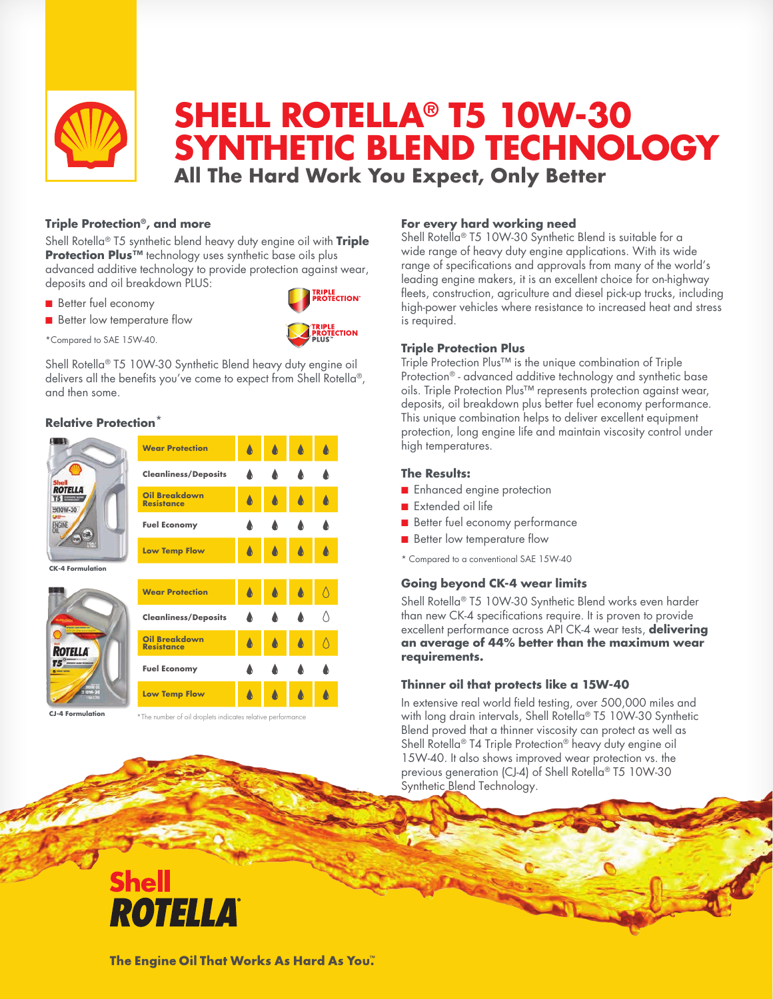

# **SHELL ROTELLA® T5 10W-30 SYNTHETIC BLEND TECHNOLOGY All The Hard Work You Expect, Only Better**

### **Triple Protection®, and more**

Shell Rotella® T5 synthetic blend heavy duty engine oil with **Triple Protection Plus™** technology uses synthetic base oils plus advanced additive technology to provide protection against wear, deposits and oil breakdown PLUS:

- **Better fuel economy**
- **n** Better low temperature flow

RIPLE<br>ROTECTION' RIPLE<br>ROTECTION

\*Compared to SAE 15W-40.

Shell Rotella® T5 10W-30 Synthetic Blend heavy duty engine oil delivers all the benefits you've come to expect from Shell Rotella®, and then some.

### **Relative Protection**\*



**CJ-4 Formulation**

\*The number of oil droplets indicates relative performance

### **For every hard working need**

Shell Rotella® T5 10W-30 Synthetic Blend is suitable for a wide range of heavy duty engine applications. With its wide range of specifications and approvals from many of the world's leading engine makers, it is an excellent choice for on-highway fleets, construction, agriculture and diesel pick-up trucks, including high-power vehicles where resistance to increased heat and stress is required.

### **Triple Protection Plus**

Triple Protection Plus™ is the unique combination of Triple Protection® - advanced additive technology and synthetic base oils. Triple Protection Plus™ represents protection against wear, deposits, oil breakdown plus better fuel economy performance. This unique combination helps to deliver excellent equipment protection, long engine life and maintain viscosity control under high temperatures.

### **The Results:**

- **n** Enhanced engine protection
- Extended oil life
- Better fuel economy performance
- **n** Better low temperature flow
- \* Compared to a conventional SAE 15W-40

## **Going beyond CK-4 wear limits**

Shell Rotella® T5 10W-30 Synthetic Blend works even harder than new CK-4 specifications require. It is proven to provide excellent performance across API CK-4 wear tests, **delivering an average of 44% better than the maximum wear requirements.** 

### **Thinner oil that protects like a 15W-40**

In extensive real world field testing, over 500,000 miles and with long drain intervals, Shell Rotella® T5 10W-30 Synthetic Blend proved that a thinner viscosity can protect as well as Shell Rotella® T4 Triple Protection® heavy duty engine oil 15W-40. It also shows improved wear protection vs. the previous generation (CJ-4) of Shell Rotella® T5 10W-30 Synthetic Blend Technology.

# **Shell** ROTELLA